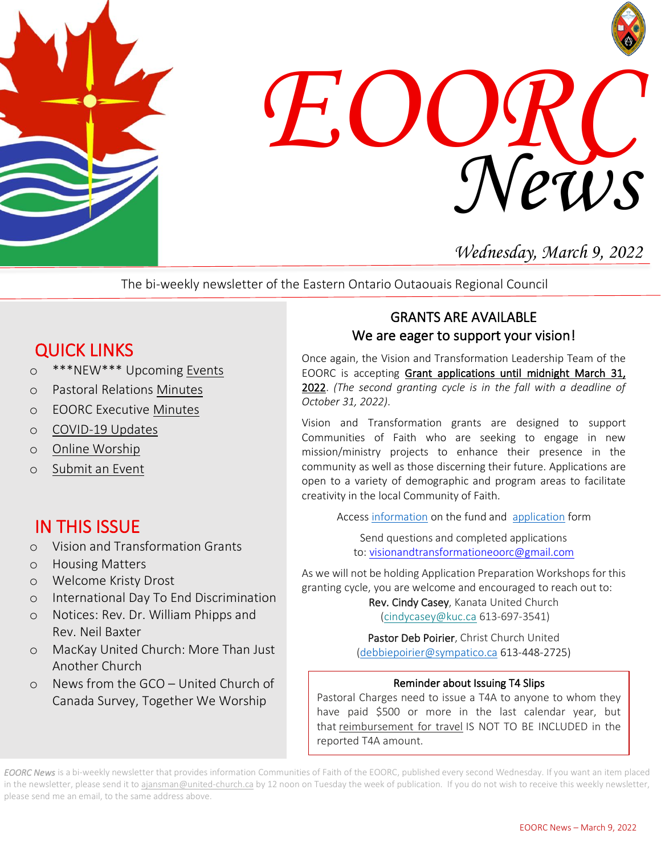



## *Wednesday, March 9, 2022*

The bi-weekly newsletter of the Eastern Ontario Outaouais Regional Council

# QUICK LINKS

- o \*\*\*NEW\*\*\* Upcoming [Events](https://eoorc.ca/events/)
- o Pastoral Relations [Minutes](https://eoorc.ca/ministries/pastoral-relations/)
- o EOORC Executive [Minutes](https://eoorc.ca/about-us/governance/)
- o [COVID-19 Updates](https://eoorc.ca/resources/covid-19/)
- o [Online Worship](https://eoorc.ca/resources/online-worship/)
- o [Submit](https://eoorc.ca/events/community/add) an Event

# IN THIS ISSUE

- o Vision and Transformation Grants
- o Housing Matters
- o Welcome Kristy Drost
- o International Day To End Discrimination
- o Notices: Rev. Dr. William Phipps and Rev. Neil Baxter
- o MacKay United Church: More Than Just Another Church
- o News from the GCO United Church of Canada Survey, Together We Worship

### GRANTS ARE AVAILABLE We are eager to support your vision!

Once again, the Vision and Transformation Leadership Team of the EOORC is accepting Grant applications until midnight March 31, 2022. *(The second granting cycle is in the fall with a deadline of October 31, 2022)*.

Vision and Transformation grants are designed to support Communities of Faith who are seeking to engage in new mission/ministry projects to enhance their presence in the community as well as those discerning their future. Applications are open to a variety of demographic and program areas to facilitate creativity in the local Community of Faith.

Access [information](https://eoorc.ca/wp-content/uploads/2021/09/EOORC-List-of-Principles-and-Criteria-for-the-Adjudication-of-EOORC-Vision-and-transformation-Team-Grants-June-15-2021.pdf) on the fund and [application](https://eoorc.ca/wp-content/uploads/2021/09/Vision-and-Transformation-Terms-of-Reference-and-Application.pdf) form

Send questions and completed applications to: [visionandtransformationeoorc@gmail.com](mailto:visionandtransformationeoorc@gmail.com)

As we will not be holding Application Preparation Workshops for this granting cycle, you are welcome and encouraged to reach out to:

Rev. Cindy Casey, Kanata United Church [\(cindycasey@kuc.ca](mailto:cindycasey@kuc.ca) 613-697-3541)

Pastor Deb Poirier, Christ Church United [\(debbiepoirier@sympatico.ca](mailto:debbiepoirier@sympatico.ca) 613-448-2725)

### Reminder about Issuing T4 Slips

 have paid \$500 or more in the last calendar year, but that <u>reimbursement for travel</u> IS NOT TO BE INCLUDED in the renorted T4A cmount  $\overline{a}$ Pastoral Charges need to issue a T4A to anyone to whom they reported T4A amount.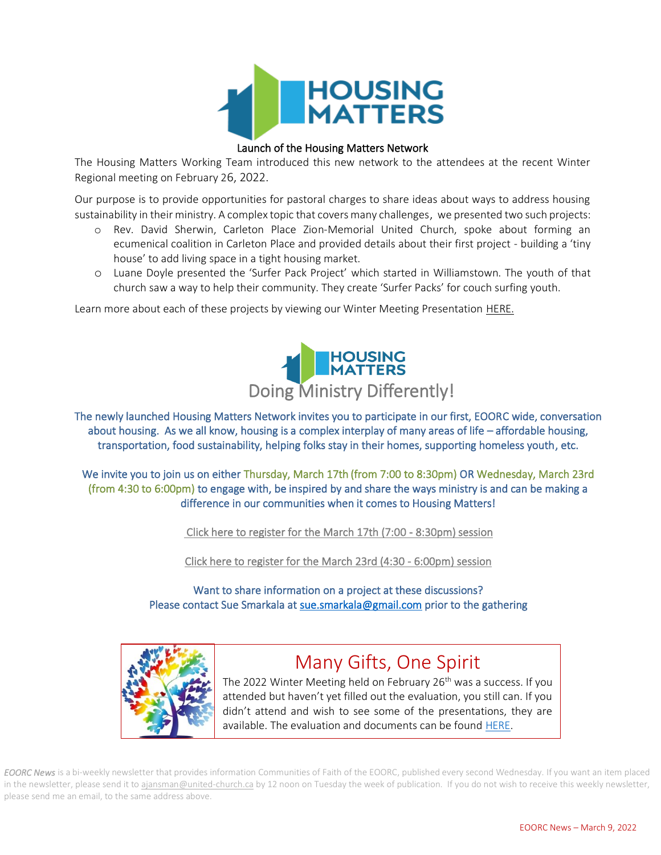

### Launch of the Housing Matters Network

 The Housing Matters Working Team introduced this new network to the attendees at the recent Winter Regional meeting on February 26, 2022.

 Our purpose is to provide opportunities for pastoral charges to share ideas about ways to address housing sustainability in their ministry. A complex topic that covers many challenges, we presented two such projects:<br>experiences

- ecumenical coalition in Carleton Place and provided details about their first project building a 'tiny house' to add living space in a tight housing market. o Rev. David Sherwin, Carleton Place Zion-Memorial United Church, spoke about forming an
- o Luane Doyle presented the 'Surfer Pack Project' which started in Williamstown. The youth of that church saw a way to help their community. They create 'Surfer Packs' for couch surfing youth.

Learn more about each of these projects by viewing our Winter Meeting Presentation HERE.



 The newly launched Housing Matters Network invites you to participate in our first, EOORC wide, conversation about housing. As we all know, housing is a complex interplay of many areas of life – affordable housing, transportation, food sustainability, helping folks stay in their homes, supporting homeless youth, etc.

 We invite you to join us on either Thursday, March 17th (from 7:00 to 8:30pm) OR Wednesday, March 23rd (from 4:30 to 6:00pm) to engage with, be inspired by and share the ways ministry is and can be making a difference in our communities when it comes to Housing Matters!

 [Click here to register for the March 17th \(7:00 - 8:30pm\) session](https://us02web.zoom.us/meeting/register/tZcucumgrTgjHtKGegWLmY5VJwHCi2x6pkfi) 

[Click here to register for the March 23rd \(4:30 - 6:00pm\) session](https://us02web.zoom.us/meeting/register/tZIocuuspzwoHNDepIEusBrdquPe5kxvt4eA)

Please contact Sue Smarkala a[t sue.smarkala@gmail.com](mailto:sue.smarkala@gmail.com) prior to the gathering Want to share information on a project at these discussions?



### Many Gifts, One Spirit

The 2022 Winter Meeting held on February 26<sup>th</sup> was a success. If you attended but haven't yet filled out the evaluation, you still can. If you didn't attend and wish to see some of the presentations, they are available. The evaluation and documents can be found [HERE.](https://eoorc.ca/2022-eoorc-winter-meeting/)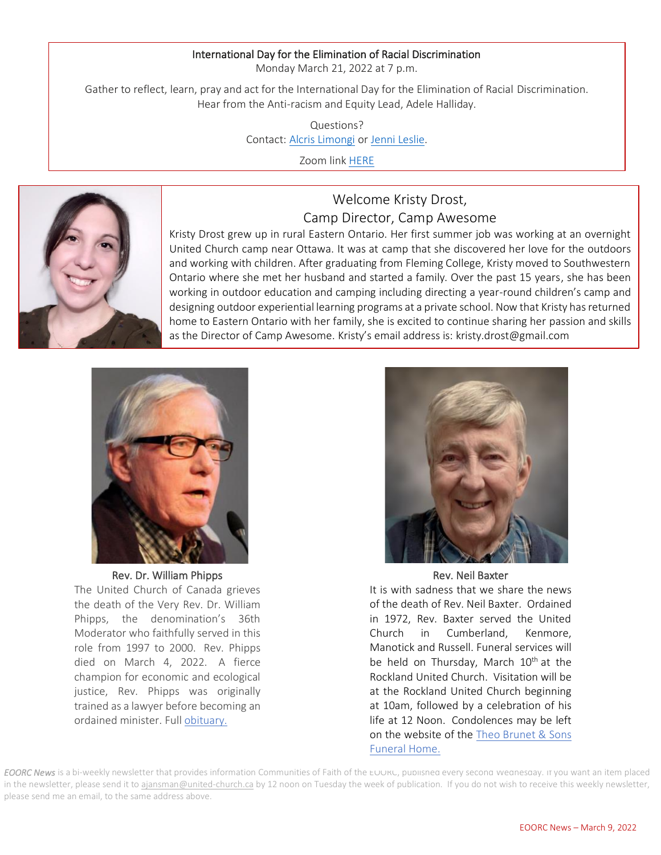#### International Day for the Elimination of Racial Discrimination

Monday March 21, 2022 at 7 p.m.

 Gather to reflect, learn, pray and act for the International Day for the Elimination of Racial Discrimination. Hear from the Anti-racism and Equity Lead, Adele Halliday.

> Questions? Contact: <u>[Alcris Limongi](mailto:alcris@parkdaleunitedchurch.ca)</u> or <u>Jenni Leslie</u>.

> > Zoom link <u>HERE</u>



 Kristy Drost grew up in rural Eastern Ontario. Her first summer job was working at an overnight United Church camp near Ottawa. It was at camp that she discovered her love for the outdoors and working with children. After graduating from Fleming College, Kristy moved to Southwestern<br>Ontario where she met her husband and started a family. Ques the nest 15 years, she has been working in outdoor education and camping including directing a year-round children's camp and designing outdoor experiential learning programs at a private school. Now that Kristy has returned as the Director of Camp Awesome. Kristy's email address is: kristy.drost@gmail.comOntario where she met her husband and started a family. Over the past 15 years, she has been home to Eastern Ontario with her family, she is excited to continue sharing her passion and skills

Welcome Kristy Drost,

Camp Director, Camp Awesome

 $\overline{a}$ 



Rev. Dr. William Phipps The United Church of Canada grieves the death of the Very Rev. Dr. William Phipps, the denomination's 36th Moderator who faithfully served in this role from 1997 to 2000. Rev. Phipps died on March 4, 2022. A fierce champion for economic and ecological justice, Rev. Phipps was originally trained as a lawyer before becoming an ordained minister. Ful[l obituary.](https://united-church.ca/news/mourning-death-very-reverend-bill-phipps)



Rev. Neil Baxter

It is with sadness that we share the news of the death of Rev. Neil Baxter. Ordained in 1972, Rev. Baxter served the United Church in Cumberland, Kenmore, Manotick and Russell. Funeral services will be held on Thursday, March 10<sup>th</sup> at the Rockland United Church. Visitation will be at the Rockland United Church beginning at 10am, followed by a celebration of his life at 12 Noon. Condolences may be left on the website of the Theo [Brunet](https://www.brunetfuneralhome.ca/index.php) & Sons [Funeral](https://www.brunetfuneralhome.ca/index.php) Home.